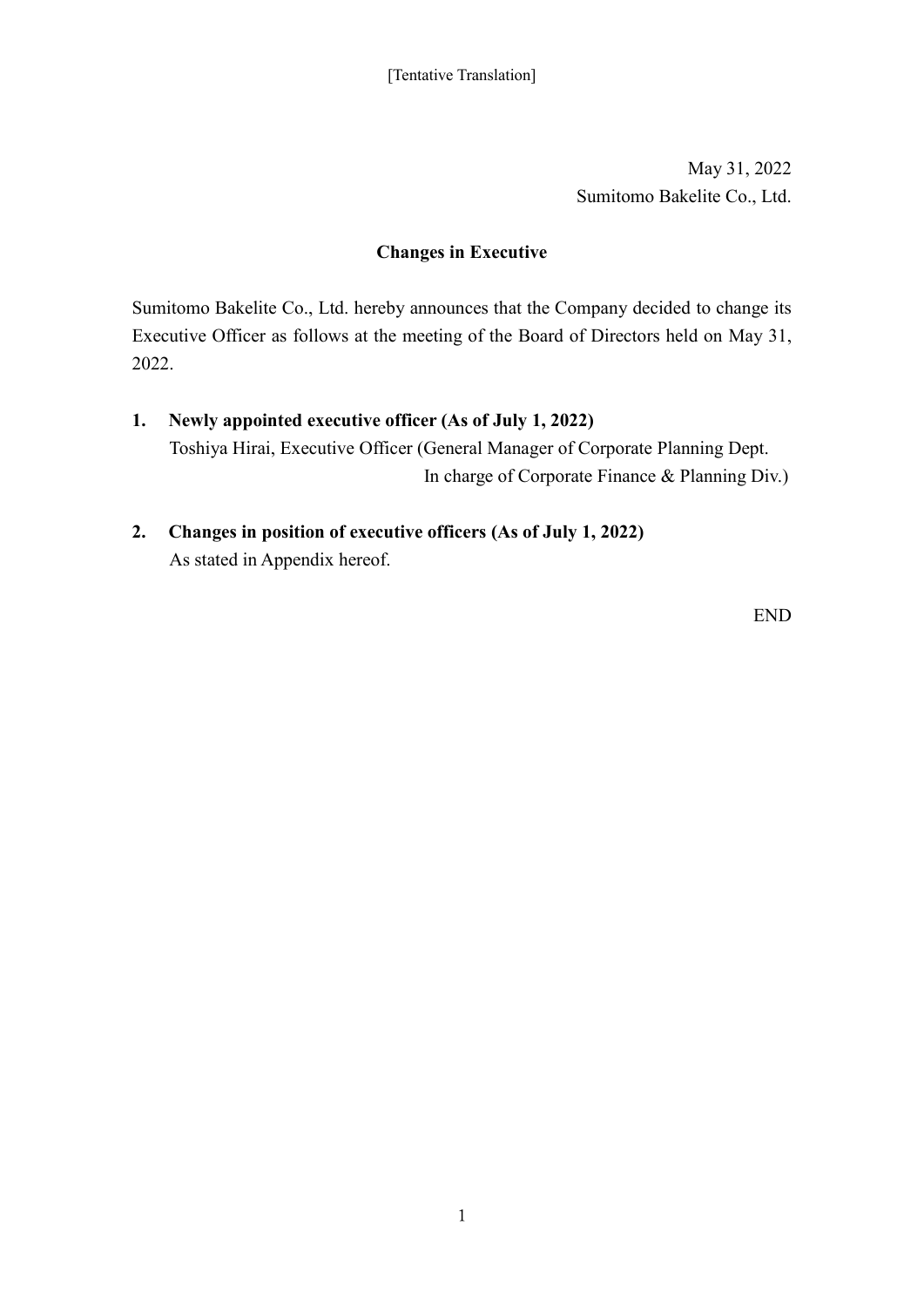May 31, 2022 Sumitomo Bakelite Co., Ltd.

## **Changes in Executive**

Sumitomo Bakelite Co., Ltd. hereby announces that the Company decided to change its Executive Officer as follows at the meeting of the Board of Directors held on May 31, 2022.

- **1. Newly appointed executive officer (As of July 1, 2022)** Toshiya Hirai, Executive Officer (General Manager of Corporate Planning Dept. In charge of Corporate Finance & Planning Div.)
- **2. Changes in position of executive officers (As of July 1, 2022)** As stated in Appendix hereof.

END